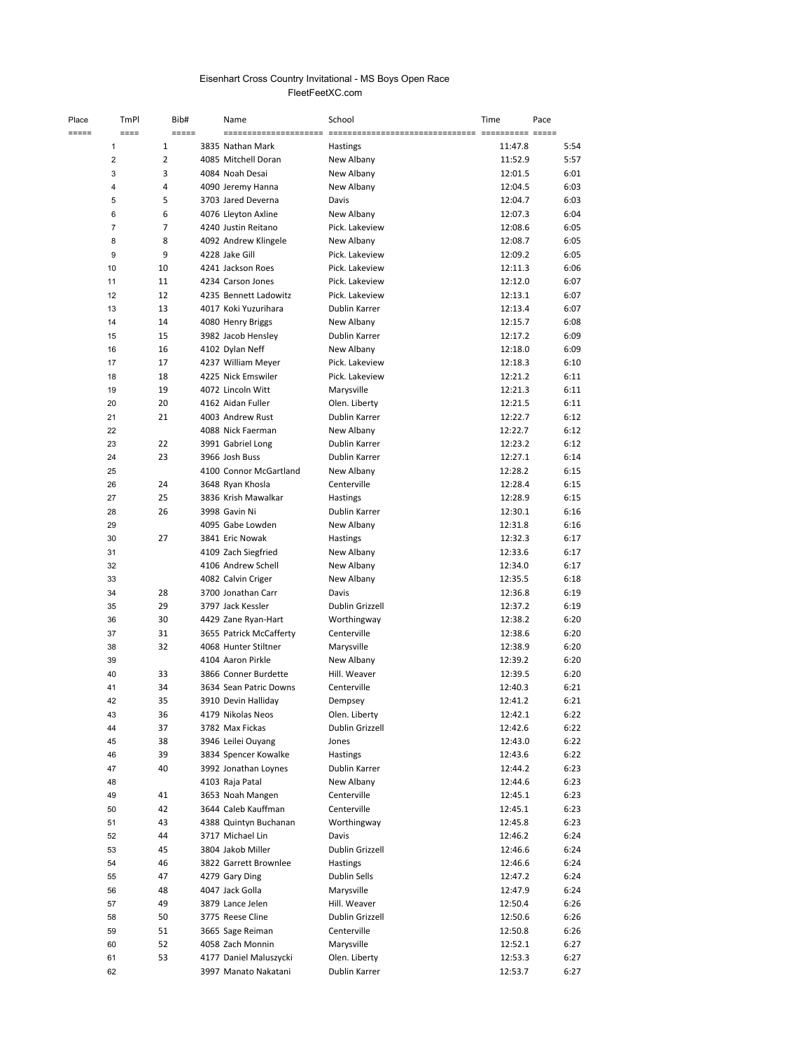## Eisenhart Cross Country Invitational - MS Boys Open Race FleetFeetXC.com

| Place       | TmPl                    | Bib#                | Name                    | School          | Time    | Pace     |
|-------------|-------------------------|---------------------|-------------------------|-----------------|---------|----------|
| $= = = = =$ | $====$                  | $=$ $=$ $=$ $=$ $=$ | $=$ $=$ $=$ $=$ $=$     | $=$             |         | == ===== |
|             | 1                       | $\mathbf{1}$        | 3835 Nathan Mark        | Hastings        | 11:47.8 | 5:54     |
|             | $\overline{2}$          | $\overline{2}$      | 4085 Mitchell Doran     | New Albany      | 11:52.9 | 5:57     |
|             | 3                       | 3                   | 4084 Noah Desai         | New Albany      | 12:01.5 | 6:01     |
|             | $\overline{\mathbf{4}}$ | 4                   | 4090 Jeremy Hanna       | New Albany      | 12:04.5 | 6:03     |
|             | 5                       | 5                   | 3703 Jared Deverna      | Davis           | 12:04.7 | 6:03     |
|             | 6                       | 6                   | 4076 Lleyton Axline     | New Albany      | 12:07.3 | 6:04     |
|             | $\overline{7}$          | 7                   | 4240 Justin Reitano     | Pick. Lakeview  | 12:08.6 | 6:05     |
|             | 8                       | 8                   | 4092 Andrew Klingele    | New Albany      | 12:08.7 | 6:05     |
|             | 9                       | 9                   | 4228 Jake Gill          | Pick. Lakeview  | 12:09.2 | 6:05     |
|             | 10                      | 10                  | 4241 Jackson Roes       | Pick. Lakeview  | 12:11.3 | 6:06     |
|             | 11                      | 11                  | 4234 Carson Jones       | Pick. Lakeview  | 12:12.0 | 6:07     |
|             | 12                      | 12                  | 4235 Bennett Ladowitz   | Pick. Lakeview  | 12:13.1 | 6:07     |
|             | 13                      | 13                  | 4017 Koki Yuzurihara    | Dublin Karrer   | 12:13.4 | 6:07     |
|             | 14                      | 14                  | 4080 Henry Briggs       | New Albany      | 12:15.7 | 6:08     |
|             | 15                      | 15                  | 3982 Jacob Hensley      | Dublin Karrer   | 12:17.2 | 6:09     |
|             | 16                      | 16                  | 4102 Dylan Neff         | New Albany      | 12:18.0 | 6:09     |
|             | 17                      | 17                  | 4237 William Meyer      | Pick. Lakeview  | 12:18.3 | 6:10     |
|             | 18                      | 18                  | 4225 Nick Emswiler      | Pick. Lakeview  | 12:21.2 | 6:11     |
|             | 19                      | 19                  | 4072 Lincoln Witt       | Marysville      | 12:21.3 | 6:11     |
|             | 20                      | 20                  | 4162 Aidan Fuller       | Olen. Liberty   | 12:21.5 | 6:11     |
|             | 21                      | 21                  | 4003 Andrew Rust        | Dublin Karrer   | 12:22.7 | 6:12     |
|             | 22                      |                     | 4088 Nick Faerman       | New Albany      | 12:22.7 | 6:12     |
|             | 23                      | 22                  | 3991 Gabriel Long       | Dublin Karrer   | 12:23.2 | 6:12     |
|             | 24                      | 23                  | 3966 Josh Buss          | Dublin Karrer   | 12:27.1 | 6:14     |
|             | 25                      |                     | 4100 Connor McGartland  | New Albany      | 12:28.2 | 6:15     |
|             | 26                      | 24                  | 3648 Ryan Khosla        | Centerville     | 12:28.4 | 6:15     |
|             | 27                      | 25                  | 3836 Krish Mawalkar     | <b>Hastings</b> | 12:28.9 | 6:15     |
|             | 28                      | 26                  | 3998 Gavin Ni           | Dublin Karrer   | 12:30.1 | 6:16     |
|             | 29                      |                     | 4095 Gabe Lowden        | New Albany      | 12:31.8 | 6:16     |
|             | 30                      | 27                  | 3841 Eric Nowak         | Hastings        | 12:32.3 | 6:17     |
|             | 31                      |                     | 4109 Zach Siegfried     | New Albany      | 12:33.6 | 6:17     |
|             | 32                      |                     | 4106 Andrew Schell      | New Albany      | 12:34.0 | 6:17     |
|             | 33                      |                     | 4082 Calvin Criger      | New Albany      | 12:35.5 | 6:18     |
|             | 34                      | 28                  | 3700 Jonathan Carr      | Davis           | 12:36.8 | 6:19     |
|             | 35                      | 29                  | 3797 Jack Kessler       | Dublin Grizzell | 12:37.2 | 6:19     |
|             | 36                      | 30                  | 4429 Zane Ryan-Hart     | Worthingway     | 12:38.2 | 6:20     |
|             | 37                      | 31                  | 3655 Patrick McCafferty | Centerville     | 12:38.6 | 6:20     |
|             | 38                      | 32                  | 4068 Hunter Stiltner    | Marysville      | 12:38.9 | 6:20     |
|             | 39                      |                     | 4104 Aaron Pirkle       | New Albany      | 12:39.2 | 6:20     |
|             | 40                      | 33                  | 3866 Conner Burdette    | Hill. Weaver    | 12:39.5 | 6:20     |
|             | 41                      | 34                  | 3634 Sean Patric Downs  | Centerville     | 12:40.3 | 6:21     |
|             | 42                      | 35                  | 3910 Devin Halliday     | Dempsey         | 12:41.2 | 6:21     |
|             | 43                      | 36                  | 4179 Nikolas Neos       | Olen. Liberty   | 12:42.1 | 6:22     |
|             | 44                      | 37                  | 3782 Max Fickas         | Dublin Grizzell | 12:42.6 | 6:22     |
|             | 45                      | 38                  | 3946 Leilei Ouyang      | Jones           | 12:43.0 | 6:22     |
|             | 46                      | 39                  | 3834 Spencer Kowalke    | Hastings        | 12:43.6 | 6:22     |
|             | 47                      | 40                  | 3992 Jonathan Loynes    | Dublin Karrer   | 12:44.2 | 6:23     |
|             | 48                      |                     | 4103 Raja Patal         | New Albany      | 12:44.6 | 6:23     |
|             | 49                      | 41                  | 3653 Noah Mangen        | Centerville     | 12:45.1 | 6:23     |
|             | 50                      | 42                  | 3644 Caleb Kauffman     | Centerville     | 12:45.1 | 6:23     |
|             | 51                      | 43                  | 4388 Quintyn Buchanan   | Worthingway     | 12:45.8 | 6:23     |
|             | 52                      | 44                  | 3717 Michael Lin        | Davis           | 12:46.2 | 6:24     |
|             | 53                      | 45                  | 3804 Jakob Miller       | Dublin Grizzell | 12:46.6 | 6:24     |
|             | 54                      | 46                  | 3822 Garrett Brownlee   | <b>Hastings</b> | 12:46.6 | 6:24     |
|             | 55                      | 47                  | 4279 Gary Ding          | Dublin Sells    | 12:47.2 | 6:24     |
|             | 56                      | 48                  | 4047 Jack Golla         | Marysville      | 12:47.9 | 6:24     |
|             | 57                      | 49                  | 3879 Lance Jelen        | Hill. Weaver    | 12:50.4 | 6:26     |
|             | 58                      | 50                  | 3775 Reese Cline        | Dublin Grizzell | 12:50.6 | 6:26     |
|             | 59                      | 51                  | 3665 Sage Reiman        | Centerville     | 12:50.8 | 6:26     |
|             | 60                      | 52                  | 4058 Zach Monnin        | Marysville      | 12:52.1 | 6:27     |
|             | 61                      | 53                  | 4177 Daniel Maluszycki  | Olen. Liberty   | 12:53.3 | 6:27     |
|             | 62                      |                     | 3997 Manato Nakatani    | Dublin Karrer   | 12:53.7 | 6:27     |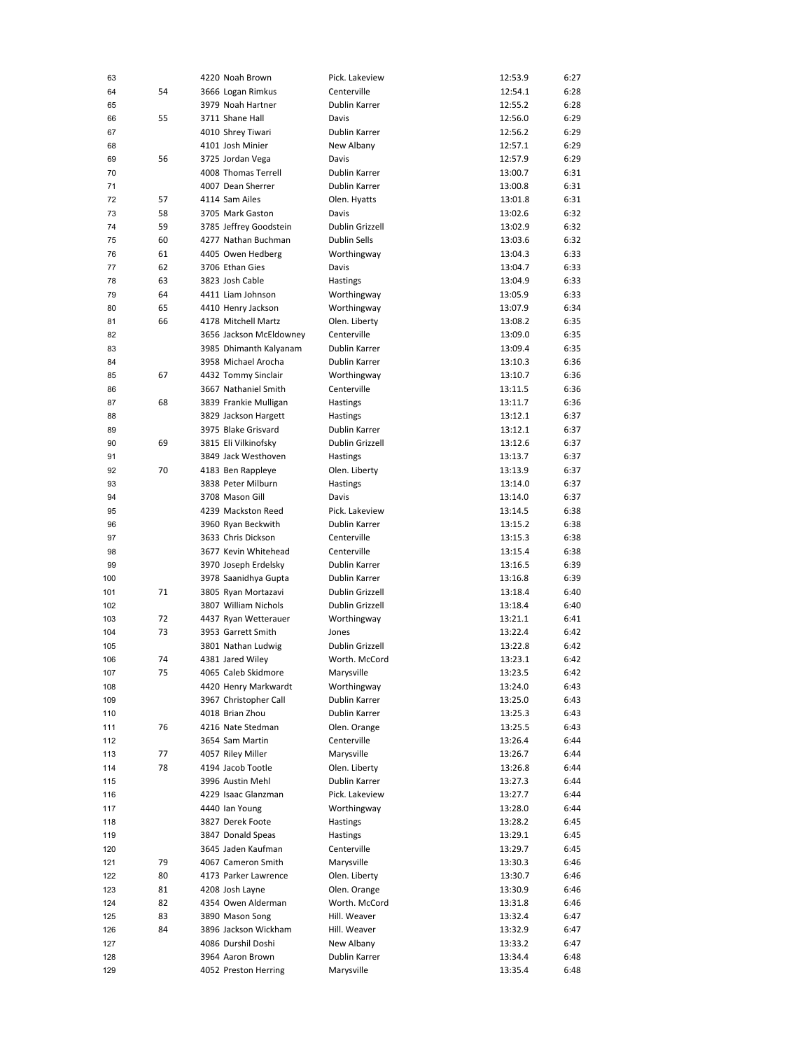| 63  |    | 4220 Noah Brown         | Pick. Lakeview  | 12:53.9 | 6:27 |
|-----|----|-------------------------|-----------------|---------|------|
| 64  | 54 | 3666 Logan Rimkus       | Centerville     | 12:54.1 | 6:28 |
|     |    |                         | Dublin Karrer   |         | 6:28 |
| 65  |    | 3979 Noah Hartner       |                 | 12:55.2 |      |
| 66  | 55 | 3711 Shane Hall         | Davis           | 12:56.0 | 6:29 |
| 67  |    | 4010 Shrey Tiwari       | Dublin Karrer   | 12:56.2 | 6:29 |
| 68  |    | 4101 Josh Minier        | New Albany      | 12:57.1 | 6:29 |
| 69  | 56 | 3725 Jordan Vega        | Davis           | 12:57.9 | 6:29 |
| 70  |    | 4008 Thomas Terrell     | Dublin Karrer   | 13:00.7 | 6:31 |
| 71  |    | 4007 Dean Sherrer       | Dublin Karrer   | 13:00.8 | 6:31 |
|     |    |                         |                 |         |      |
| 72  | 57 | 4114 Sam Ailes          | Olen. Hyatts    | 13:01.8 | 6:31 |
| 73  | 58 | 3705 Mark Gaston        | Davis           | 13:02.6 | 6:32 |
| 74  | 59 | 3785 Jeffrey Goodstein  | Dublin Grizzell | 13:02.9 | 6:32 |
| 75  | 60 | 4277 Nathan Buchman     | Dublin Sells    | 13:03.6 | 6:32 |
| 76  | 61 | 4405 Owen Hedberg       | Worthingway     | 13:04.3 | 6:33 |
| 77  | 62 | 3706 Ethan Gies         | Davis           | 13:04.7 | 6:33 |
| 78  | 63 | 3823 Josh Cable         | Hastings        | 13:04.9 | 6:33 |
| 79  | 64 | 4411 Liam Johnson       | Worthingway     | 13:05.9 | 6:33 |
|     |    |                         |                 |         |      |
| 80  | 65 | 4410 Henry Jackson      | Worthingway     | 13:07.9 | 6:34 |
| 81  | 66 | 4178 Mitchell Martz     | Olen. Liberty   | 13:08.2 | 6:35 |
| 82  |    | 3656 Jackson McEldowney | Centerville     | 13:09.0 | 6:35 |
| 83  |    | 3985 Dhimanth Kalyanam  | Dublin Karrer   | 13:09.4 | 6:35 |
| 84  |    | 3958 Michael Arocha     | Dublin Karrer   | 13:10.3 | 6:36 |
| 85  | 67 | 4432 Tommy Sinclair     | Worthingway     | 13:10.7 | 6:36 |
| 86  |    | 3667 Nathaniel Smith    | Centerville     | 13:11.5 | 6:36 |
|     |    |                         |                 |         |      |
| 87  | 68 | 3839 Frankie Mulligan   | Hastings        | 13:11.7 | 6:36 |
| 88  |    | 3829 Jackson Hargett    | Hastings        | 13:12.1 | 6:37 |
| 89  |    | 3975 Blake Grisvard     | Dublin Karrer   | 13:12.1 | 6:37 |
| 90  | 69 | 3815 Eli Vilkinofsky    | Dublin Grizzell | 13:12.6 | 6:37 |
| 91  |    | 3849 Jack Westhoven     | Hastings        | 13:13.7 | 6:37 |
| 92  | 70 | 4183 Ben Rappleye       | Olen. Liberty   | 13:13.9 | 6:37 |
| 93  |    | 3838 Peter Milburn      | Hastings        | 13:14.0 | 6:37 |
| 94  |    | 3708 Mason Gill         | Davis           | 13:14.0 | 6:37 |
|     |    |                         |                 |         |      |
| 95  |    | 4239 Mackston Reed      | Pick. Lakeview  | 13:14.5 | 6:38 |
| 96  |    | 3960 Ryan Beckwith      | Dublin Karrer   | 13:15.2 | 6:38 |
| 97  |    | 3633 Chris Dickson      | Centerville     | 13:15.3 | 6:38 |
| 98  |    | 3677 Kevin Whitehead    | Centerville     | 13:15.4 | 6:38 |
| 99  |    | 3970 Joseph Erdelsky    | Dublin Karrer   | 13:16.5 | 6:39 |
| 100 |    | 3978 Saanidhya Gupta    | Dublin Karrer   | 13:16.8 | 6:39 |
|     | 71 | 3805 Ryan Mortazavi     | Dublin Grizzell | 13:18.4 | 6:40 |
| 101 |    |                         |                 |         |      |
| 102 |    | 3807 William Nichols    | Dublin Grizzell | 13:18.4 | 6:40 |
| 103 | 72 | 4437 Ryan Wetterauer    | Worthingway     | 13:21.1 | 6:41 |
| 104 | 73 | 3953 Garrett Smith      | Jones           | 13:22.4 | 6:42 |
| 105 |    | 3801 Nathan Ludwig      | Dublin Grizzell | 13:22.8 | 6:42 |
| 106 | 74 | 4381 Jared Wiley        | Worth. McCord   | 13:23.1 | 6:42 |
| 107 | 75 | 4065 Caleb Skidmore     | Marysville      | 13:23.5 | 6:42 |
| 108 |    | 4420 Henry Markwardt    | Worthingway     | 13:24.0 | 6:43 |
| 109 |    | 3967 Christopher Call   | Dublin Karrer   | 13:25.0 | 6:43 |
|     |    |                         |                 |         |      |
| 110 |    | 4018 Brian Zhou         | Dublin Karrer   | 13:25.3 | 6:43 |
| 111 | 76 | 4216 Nate Stedman       | Olen. Orange    | 13:25.5 | 6:43 |
| 112 |    | 3654 Sam Martin         | Centerville     | 13:26.4 | 6:44 |
| 113 | 77 | 4057 Riley Miller       | Marysville      | 13:26.7 | 6:44 |
| 114 | 78 | 4194 Jacob Tootle       | Olen. Liberty   | 13:26.8 | 6:44 |
| 115 |    | 3996 Austin Mehl        | Dublin Karrer   | 13:27.3 | 6:44 |
| 116 |    | 4229 Isaac Glanzman     | Pick. Lakeview  | 13:27.7 | 6:44 |
|     |    |                         |                 |         |      |
| 117 |    | 4440 Ian Young          | Worthingway     | 13:28.0 | 6:44 |
| 118 |    | 3827 Derek Foote        | Hastings        | 13:28.2 | 6:45 |
| 119 |    | 3847 Donald Speas       | <b>Hastings</b> | 13:29.1 | 6:45 |
| 120 |    | 3645 Jaden Kaufman      | Centerville     | 13:29.7 | 6:45 |
| 121 | 79 | 4067 Cameron Smith      | Marysville      | 13:30.3 | 6:46 |
| 122 | 80 | 4173 Parker Lawrence    | Olen. Liberty   | 13:30.7 | 6:46 |
| 123 | 81 | 4208 Josh Layne         | Olen. Orange    | 13:30.9 | 6:46 |
|     | 82 | 4354 Owen Alderman      | Worth. McCord   |         | 6:46 |
| 124 |    |                         |                 | 13:31.8 |      |
| 125 | 83 | 3890 Mason Song         | Hill. Weaver    | 13:32.4 | 6:47 |
| 126 | 84 | 3896 Jackson Wickham    | Hill. Weaver    | 13:32.9 | 6:47 |
| 127 |    | 4086 Durshil Doshi      | New Albany      | 13:33.2 | 6:47 |
| 128 |    | 3964 Aaron Brown        | Dublin Karrer   | 13:34.4 | 6:48 |
| 129 |    | 4052 Preston Herring    | Marysville      | 13:35.4 | 6:48 |
|     |    |                         |                 |         |      |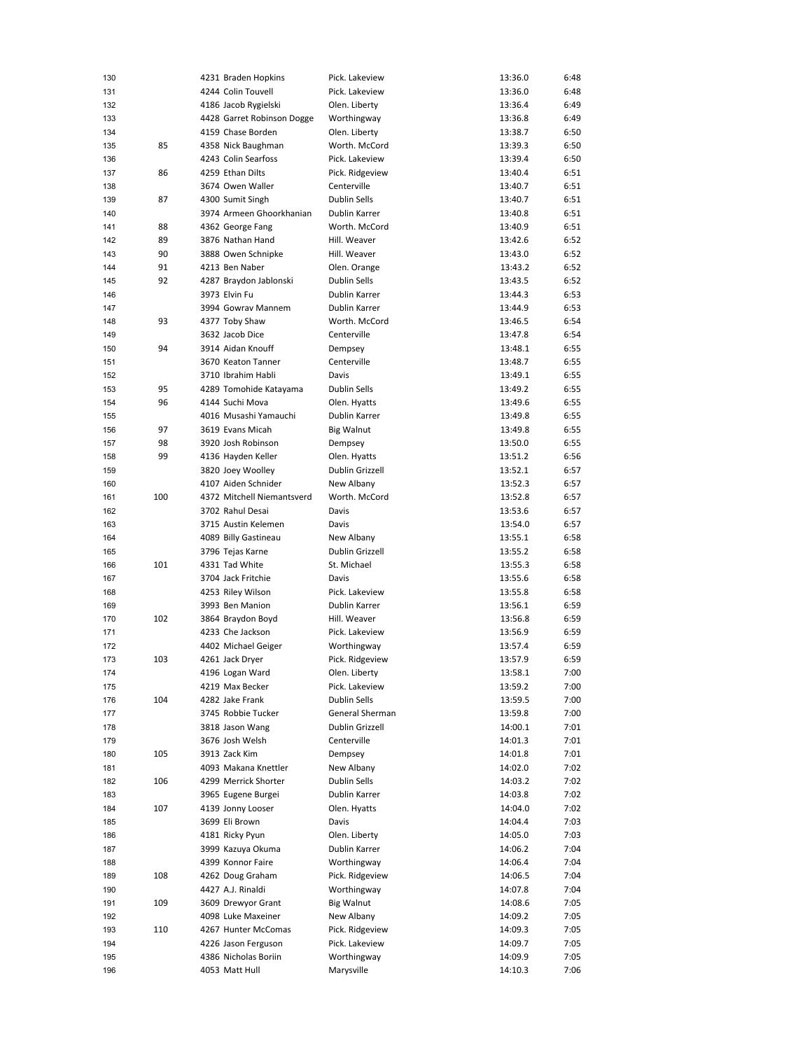| 130 |     | 4231 Braden Hopkins        | Pick. Lakeview      | 13:36.0 | 6:48 |
|-----|-----|----------------------------|---------------------|---------|------|
| 131 |     | 4244 Colin Touvell         | Pick. Lakeview      | 13:36.0 | 6:48 |
| 132 |     | 4186 Jacob Rygielski       | Olen. Liberty       | 13:36.4 | 6:49 |
| 133 |     | 4428 Garret Robinson Dogge | Worthingway         | 13:36.8 | 6:49 |
| 134 |     | 4159 Chase Borden          | Olen. Liberty       | 13:38.7 | 6:50 |
| 135 | 85  | 4358 Nick Baughman         | Worth. McCord       | 13:39.3 | 6:50 |
| 136 |     | 4243 Colin Searfoss        | Pick. Lakeview      | 13:39.4 | 6:50 |
| 137 | 86  | 4259 Ethan Dilts           | Pick. Ridgeview     | 13:40.4 | 6:51 |
| 138 |     | 3674 Owen Waller           | Centerville         | 13:40.7 | 6:51 |
|     |     |                            |                     |         |      |
| 139 | 87  | 4300 Sumit Singh           | <b>Dublin Sells</b> | 13:40.7 | 6:51 |
| 140 |     | 3974 Armeen Ghoorkhanian   | Dublin Karrer       | 13:40.8 | 6:51 |
| 141 | 88  | 4362 George Fang           | Worth, McCord       | 13:40.9 | 6:51 |
| 142 | 89  | 3876 Nathan Hand           | Hill, Weaver        | 13:42.6 | 6:52 |
| 143 | 90  | 3888 Owen Schnipke         | Hill. Weaver        | 13:43.0 | 6:52 |
| 144 | 91  | 4213 Ben Naber             | Olen. Orange        | 13:43.2 | 6:52 |
| 145 | 92  | 4287 Braydon Jablonski     | Dublin Sells        | 13:43.5 | 6:52 |
| 146 |     | 3973 Elvin Fu              | Dublin Karrer       | 13:44.3 | 6:53 |
| 147 |     | 3994 Gowrav Mannem         | Dublin Karrer       | 13:44.9 | 6:53 |
| 148 | 93  | 4377 Toby Shaw             | Worth. McCord       | 13:46.5 | 6:54 |
| 149 |     | 3632 Jacob Dice            | Centerville         | 13:47.8 | 6:54 |
| 150 | 94  | 3914 Aidan Knouff          | Dempsey             | 13:48.1 | 6:55 |
| 151 |     | 3670 Keaton Tanner         | Centerville         | 13:48.7 | 6:55 |
| 152 |     | 3710 Ibrahim Habli         | Davis               | 13:49.1 | 6:55 |
| 153 | 95  | 4289 Tomohide Katayama     | Dublin Sells        | 13:49.2 | 6:55 |
| 154 | 96  | 4144 Suchi Mova            | Olen. Hyatts        | 13:49.6 | 6:55 |
| 155 |     | 4016 Musashi Yamauchi      | Dublin Karrer       | 13:49.8 | 6:55 |
| 156 | 97  | 3619 Evans Micah           | <b>Big Walnut</b>   | 13:49.8 | 6:55 |
|     |     |                            |                     |         |      |
| 157 | 98  | 3920 Josh Robinson         | Dempsey             | 13:50.0 | 6:55 |
| 158 | 99  | 4136 Hayden Keller         | Olen. Hyatts        | 13:51.2 | 6:56 |
| 159 |     | 3820 Joey Woolley          | Dublin Grizzell     | 13:52.1 | 6:57 |
| 160 |     | 4107 Aiden Schnider        | New Albany          | 13:52.3 | 6:57 |
| 161 | 100 | 4372 Mitchell Niemantsverd | Worth. McCord       | 13:52.8 | 6:57 |
| 162 |     | 3702 Rahul Desai           | Davis               | 13:53.6 | 6:57 |
| 163 |     | 3715 Austin Kelemen        | Davis               | 13:54.0 | 6:57 |
| 164 |     | 4089 Billy Gastineau       | New Albany          | 13:55.1 | 6:58 |
| 165 |     | 3796 Tejas Karne           | Dublin Grizzell     | 13:55.2 | 6:58 |
| 166 | 101 | 4331 Tad White             | St. Michael         | 13:55.3 | 6:58 |
| 167 |     | 3704 Jack Fritchie         | Davis               | 13:55.6 | 6:58 |
| 168 |     | 4253 Riley Wilson          | Pick. Lakeview      | 13:55.8 | 6:58 |
| 169 |     | 3993 Ben Manion            | Dublin Karrer       | 13:56.1 | 6:59 |
| 170 | 102 | 3864 Braydon Boyd          | Hill. Weaver        | 13:56.8 | 6:59 |
| 171 |     | 4233 Che Jackson           | Pick. Lakeview      | 13:56.9 | 6:59 |
| 172 |     | 4402 Michael Geiger        | Worthingway         | 13:57.4 | 6:59 |
| 173 | 103 | 4261 Jack Dryer            | Pick. Ridgeview     | 13:57.9 | 6:59 |
| 174 |     | 4196 Logan Ward            | Olen. Liberty       | 13:58.1 | 7:00 |
| 175 |     | 4219 Max Becker            | Pick. Lakeview      | 13:59.2 | 7:00 |
|     | 104 |                            | <b>Dublin Sells</b> |         |      |
| 176 |     | 4282 Jake Frank            |                     | 13:59.5 | 7:00 |
| 177 |     | 3745 Robbie Tucker         | General Sherman     | 13:59.8 | 7:00 |
| 178 |     | 3818 Jason Wang            | Dublin Grizzell     | 14:00.1 | 7:01 |
| 179 |     | 3676 Josh Welsh            | Centerville         | 14:01.3 | 7:01 |
| 180 | 105 | 3913 Zack Kim              | Dempsey             | 14:01.8 | 7:01 |
| 181 |     | 4093 Makana Knettler       | New Albany          | 14:02.0 | 7:02 |
| 182 | 106 | 4299 Merrick Shorter       | Dublin Sells        | 14:03.2 | 7:02 |
| 183 |     | 3965 Eugene Burgei         | Dublin Karrer       | 14:03.8 | 7:02 |
| 184 | 107 | 4139 Jonny Looser          | Olen. Hyatts        | 14:04.0 | 7:02 |
| 185 |     | 3699 Eli Brown             | Davis               | 14:04.4 | 7:03 |
| 186 |     | 4181 Ricky Pyun            | Olen. Liberty       | 14:05.0 | 7:03 |
| 187 |     | 3999 Kazuya Okuma          | Dublin Karrer       | 14:06.2 | 7:04 |
| 188 |     | 4399 Konnor Faire          | Worthingway         | 14:06.4 | 7:04 |
| 189 | 108 | 4262 Doug Graham           | Pick. Ridgeview     | 14:06.5 | 7:04 |
| 190 |     | 4427 A.J. Rinaldi          | Worthingway         | 14:07.8 | 7:04 |
| 191 | 109 | 3609 Drewyor Grant         | Big Walnut          | 14:08.6 | 7:05 |
| 192 |     | 4098 Luke Maxeiner         | New Albany          | 14:09.2 | 7:05 |
| 193 | 110 | 4267 Hunter McComas        | Pick. Ridgeview     | 14:09.3 | 7:05 |
| 194 |     | 4226 Jason Ferguson        | Pick. Lakeview      | 14:09.7 | 7:05 |
|     |     | 4386 Nicholas Boriin       |                     |         |      |
| 195 |     |                            | Worthingway         | 14:09.9 | 7:05 |
| 196 |     | 4053 Matt Hull             | Marysville          | 14:10.3 | 7:06 |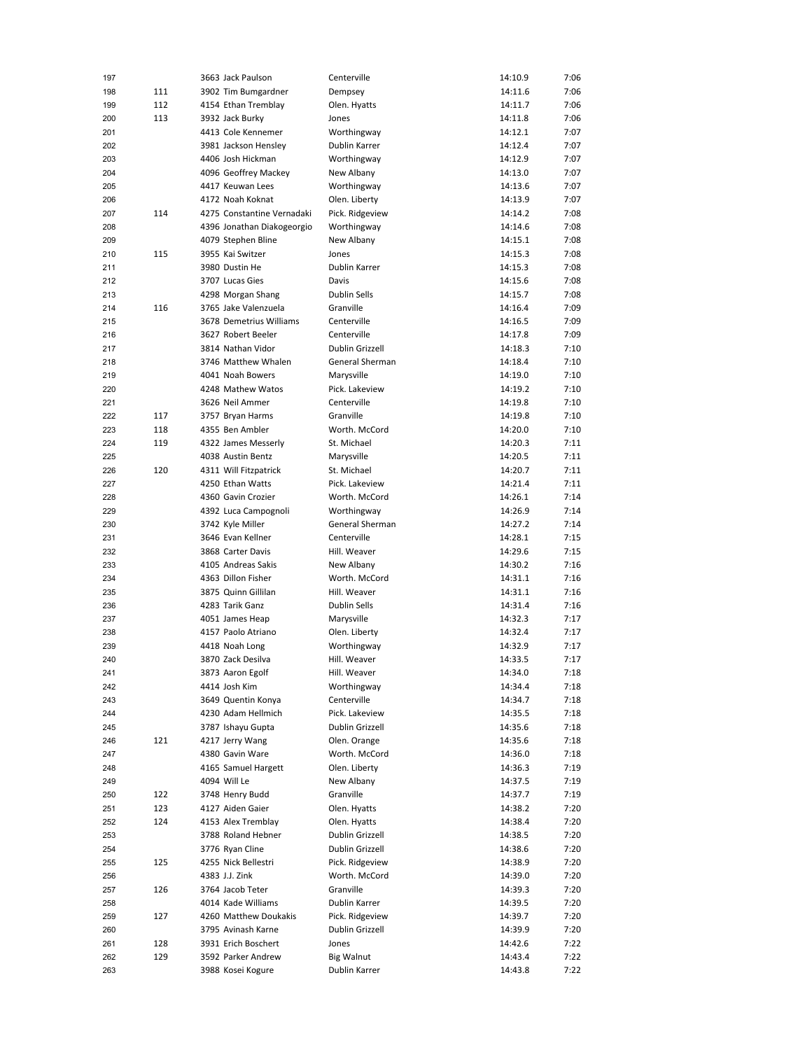| 197 |     | 3663 Jack Paulson          | Centerville         | 14:10.9 | 7:06 |
|-----|-----|----------------------------|---------------------|---------|------|
| 198 | 111 | 3902 Tim Bumgardner        | Dempsey             | 14:11.6 | 7:06 |
| 199 | 112 | 4154 Ethan Tremblay        | Olen. Hyatts        | 14:11.7 | 7:06 |
| 200 | 113 | 3932 Jack Burky            | Jones               | 14:11.8 | 7:06 |
|     |     |                            |                     |         | 7:07 |
| 201 |     | 4413 Cole Kennemer         | Worthingway         | 14:12.1 |      |
| 202 |     | 3981 Jackson Henslev       | Dublin Karrer       | 14:12.4 | 7:07 |
| 203 |     | 4406 Josh Hickman          | Worthingway         | 14:12.9 | 7:07 |
| 204 |     | 4096 Geoffrey Mackey       | New Albany          | 14:13.0 | 7:07 |
| 205 |     | 4417 Keuwan Lees           | Worthingway         | 14:13.6 | 7:07 |
| 206 |     | 4172 Noah Koknat           | Olen. Liberty       | 14:13.9 | 7:07 |
| 207 | 114 | 4275 Constantine Vernadaki | Pick. Ridgeview     | 14:14.2 | 7:08 |
| 208 |     | 4396 Jonathan Diakogeorgio | Worthingway         | 14:14.6 | 7:08 |
|     |     |                            |                     |         |      |
| 209 |     | 4079 Stephen Bline         | New Albany          | 14:15.1 | 7:08 |
| 210 | 115 | 3955 Kai Switzer           | Jones               | 14:15.3 | 7:08 |
| 211 |     | 3980 Dustin He             | Dublin Karrer       | 14:15.3 | 7:08 |
| 212 |     | 3707 Lucas Gies            | Davis               | 14:15.6 | 7:08 |
| 213 |     | 4298 Morgan Shang          | <b>Dublin Sells</b> | 14:15.7 | 7:08 |
| 214 | 116 | 3765 Jake Valenzuela       | Granville           | 14:16.4 | 7:09 |
| 215 |     | 3678 Demetrius Williams    | Centerville         | 14:16.5 | 7:09 |
| 216 |     | 3627 Robert Beeler         | Centerville         | 14:17.8 | 7:09 |
|     |     |                            |                     |         |      |
| 217 |     | 3814 Nathan Vidor          | Dublin Grizzell     | 14:18.3 | 7:10 |
| 218 |     | 3746 Matthew Whalen        | General Sherman     | 14:18.4 | 7:10 |
| 219 |     | 4041 Noah Bowers           | Marysville          | 14:19.0 | 7:10 |
| 220 |     | 4248 Mathew Watos          | Pick. Lakeview      | 14:19.2 | 7:10 |
| 221 |     | 3626 Neil Ammer            | Centerville         | 14:19.8 | 7:10 |
| 222 | 117 | 3757 Bryan Harms           | Granville           | 14:19.8 | 7:10 |
| 223 | 118 | 4355 Ben Ambler            | Worth, McCord       | 14:20.0 | 7:10 |
| 224 |     |                            | St. Michael         |         |      |
|     | 119 | 4322 James Messerly        |                     | 14:20.3 | 7:11 |
| 225 |     | 4038 Austin Bentz          | Marysville          | 14:20.5 | 7:11 |
| 226 | 120 | 4311 Will Fitzpatrick      | St. Michael         | 14:20.7 | 7:11 |
| 227 |     | 4250 Ethan Watts           | Pick. Lakeview      | 14:21.4 | 7:11 |
| 228 |     | 4360 Gavin Crozier         | Worth. McCord       | 14:26.1 | 7:14 |
| 229 |     | 4392 Luca Campognoli       | Worthingway         | 14:26.9 | 7:14 |
| 230 |     | 3742 Kyle Miller           | General Sherman     | 14:27.2 | 7:14 |
| 231 |     | 3646 Evan Kellner          | Centerville         | 14:28.1 | 7:15 |
|     |     |                            | Hill. Weaver        | 14:29.6 |      |
| 232 |     | 3868 Carter Davis          |                     |         | 7:15 |
| 233 |     | 4105 Andreas Sakis         | New Albany          | 14:30.2 | 7:16 |
| 234 |     | 4363 Dillon Fisher         | Worth. McCord       | 14:31.1 | 7:16 |
| 235 |     | 3875 Quinn Gillilan        | Hill. Weaver        | 14:31.1 | 7:16 |
| 236 |     | 4283 Tarik Ganz            | <b>Dublin Sells</b> | 14:31.4 | 7:16 |
| 237 |     | 4051 James Heap            | Marysville          | 14:32.3 | 7:17 |
| 238 |     | 4157 Paolo Atriano         | Olen. Liberty       | 14:32.4 | 7:17 |
| 239 |     | 4418 Noah Long             | Worthingway         | 14:32.9 | 7:17 |
|     |     |                            |                     |         |      |
| 240 |     | 3870 Zack Desilva          | Hill, Weaver        | 14:33.5 | 7:17 |
| 241 |     | 3873 Aaron Egolf           | Hill. Weaver        | 14:34.0 | 7:18 |
| 242 |     | 4414 Josh Kim              | Worthingway         | 14:34.4 | 7:18 |
| 243 |     | 3649 Quentin Konya         | Centerville         | 14:34.7 | 7:18 |
| 244 |     | 4230 Adam Hellmich         | Pick. Lakeview      | 14:35.5 | 7:18 |
| 245 |     | 3787 Ishayu Gupta          | Dublin Grizzell     | 14:35.6 | 7:18 |
| 246 | 121 | 4217 Jerry Wang            | Olen. Orange        | 14:35.6 | 7:18 |
| 247 |     | 4380 Gavin Ware            | Worth. McCord       | 14:36.0 | 7:18 |
|     |     |                            |                     |         |      |
| 248 |     | 4165 Samuel Hargett        | Olen. Liberty       | 14:36.3 | 7:19 |
| 249 |     | 4094 Will Le               | New Albany          | 14:37.5 | 7:19 |
| 250 | 122 | 3748 Henry Budd            | Granville           | 14:37.7 | 7:19 |
| 251 | 123 | 4127 Aiden Gaier           | Olen. Hyatts        | 14:38.2 | 7:20 |
| 252 | 124 | 4153 Alex Tremblay         | Olen. Hyatts        | 14:38.4 | 7:20 |
| 253 |     | 3788 Roland Hebner         | Dublin Grizzell     | 14:38.5 | 7:20 |
| 254 |     | 3776 Ryan Cline            | Dublin Grizzell     | 14:38.6 | 7:20 |
| 255 | 125 | 4255 Nick Bellestri        | Pick. Ridgeview     | 14:38.9 | 7:20 |
|     |     |                            |                     |         |      |
| 256 |     | 4383 J.J. Zink             | Worth. McCord       | 14:39.0 | 7:20 |
| 257 | 126 | 3764 Jacob Teter           | Granville           | 14:39.3 | 7:20 |
| 258 |     | 4014 Kade Williams         | Dublin Karrer       | 14:39.5 | 7:20 |
| 259 | 127 | 4260 Matthew Doukakis      | Pick. Ridgeview     | 14:39.7 | 7:20 |
| 260 |     | 3795 Avinash Karne         | Dublin Grizzell     | 14:39.9 | 7:20 |
| 261 | 128 | 3931 Erich Boschert        | Jones               | 14:42.6 | 7:22 |
| 262 | 129 | 3592 Parker Andrew         | <b>Big Walnut</b>   | 14:43.4 | 7:22 |
| 263 |     | 3988 Kosei Kogure          | Dublin Karrer       | 14:43.8 | 7:22 |
|     |     |                            |                     |         |      |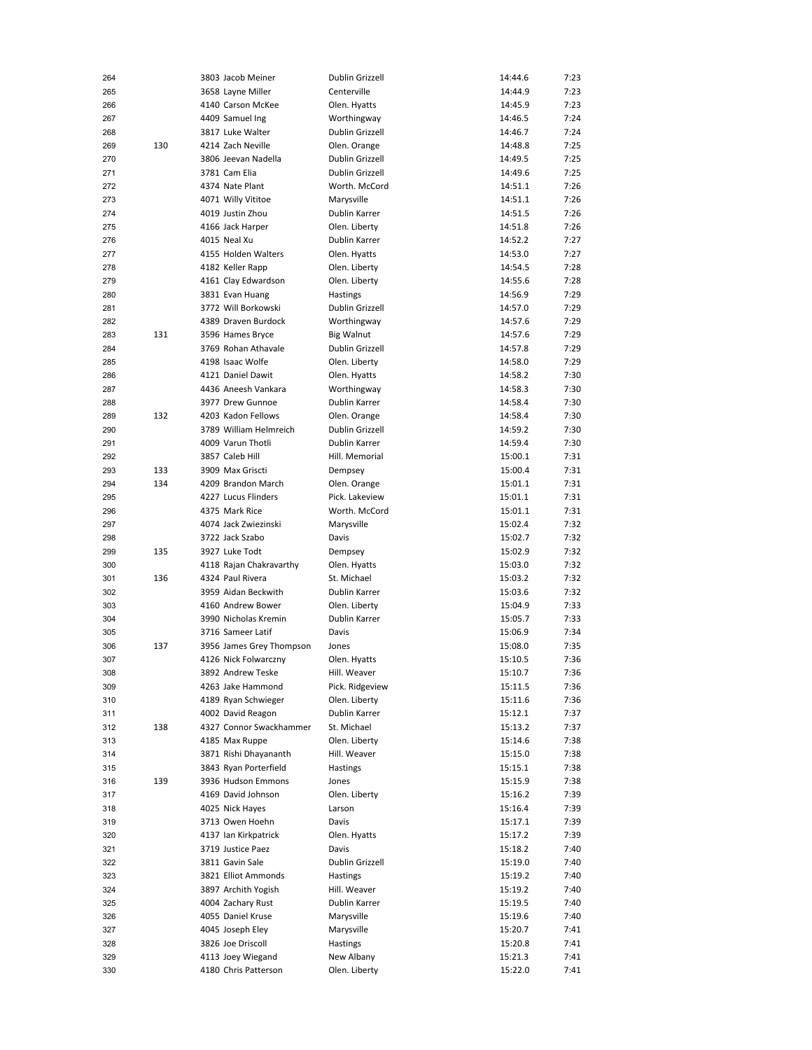| 264 |     | 3803 Jacob Meiner        | Dublin Grizzell      | 14:44.6 | 7:23 |
|-----|-----|--------------------------|----------------------|---------|------|
| 265 |     | 3658 Layne Miller        | Centerville          | 14:44.9 | 7:23 |
| 266 |     | 4140 Carson McKee        | Olen. Hyatts         | 14:45.9 | 7:23 |
| 267 |     | 4409 Samuel Ing          | Worthingway          | 14:46.5 | 7:24 |
| 268 |     | 3817 Luke Walter         | Dublin Grizzell      | 14:46.7 | 7:24 |
|     |     |                          |                      |         |      |
| 269 | 130 | 4214 Zach Neville        | Olen. Orange         | 14:48.8 | 7:25 |
| 270 |     | 3806 Jeevan Nadella      | Dublin Grizzell      | 14:49.5 | 7:25 |
| 271 |     | 3781 Cam Elia            | Dublin Grizzell      | 14:49.6 | 7:25 |
| 272 |     | 4374 Nate Plant          | Worth. McCord        | 14:51.1 | 7:26 |
| 273 |     | 4071 Willy Vititoe       | Marysville           | 14:51.1 | 7:26 |
| 274 |     | 4019 Justin Zhou         | Dublin Karrer        | 14:51.5 | 7:26 |
| 275 |     | 4166 Jack Harper         | Olen. Liberty        | 14:51.8 | 7:26 |
| 276 |     | 4015 Neal Xu             | Dublin Karrer        | 14:52.2 | 7:27 |
|     |     |                          |                      |         |      |
| 277 |     | 4155 Holden Walters      | Olen. Hyatts         | 14:53.0 | 7:27 |
| 278 |     | 4182 Keller Rapp         | Olen. Liberty        | 14:54.5 | 7:28 |
| 279 |     | 4161 Clay Edwardson      | Olen. Liberty        | 14:55.6 | 7:28 |
| 280 |     | 3831 Evan Huang          | Hastings             | 14:56.9 | 7:29 |
| 281 |     | 3772 Will Borkowski      | Dublin Grizzell      | 14:57.0 | 7:29 |
| 282 |     | 4389 Draven Burdock      | Worthingway          | 14:57.6 | 7:29 |
| 283 | 131 | 3596 Hames Bryce         | <b>Big Walnut</b>    | 14:57.6 | 7:29 |
| 284 |     | 3769 Rohan Athavale      | Dublin Grizzell      | 14:57.8 | 7:29 |
|     |     | 4198 Isaac Wolfe         |                      | 14:58.0 | 7:29 |
| 285 |     |                          | Olen. Liberty        |         |      |
| 286 |     | 4121 Daniel Dawit        | Olen. Hyatts         | 14:58.2 | 7:30 |
| 287 |     | 4436 Aneesh Vankara      | Worthingway          | 14:58.3 | 7:30 |
| 288 |     | 3977 Drew Gunnoe         | Dublin Karrer        | 14:58.4 | 7:30 |
| 289 | 132 | 4203 Kadon Fellows       | Olen. Orange         | 14:58.4 | 7:30 |
| 290 |     | 3789 William Helmreich   | Dublin Grizzell      | 14:59.2 | 7:30 |
| 291 |     | 4009 Varun Thotli        | Dublin Karrer        | 14:59.4 | 7:30 |
| 292 |     | 3857 Caleb Hill          | Hill. Memorial       | 15:00.1 | 7:31 |
| 293 | 133 | 3909 Max Griscti         | Dempsey              | 15:00.4 | 7:31 |
| 294 | 134 | 4209 Brandon March       |                      |         | 7:31 |
|     |     |                          | Olen. Orange         | 15:01.1 |      |
| 295 |     | 4227 Lucus Flinders      | Pick. Lakeview       | 15:01.1 | 7:31 |
| 296 |     | 4375 Mark Rice           | Worth. McCord        | 15:01.1 | 7:31 |
| 297 |     | 4074 Jack Zwiezinski     | Marysville           | 15:02.4 | 7:32 |
| 298 |     | 3722 Jack Szabo          | Davis                | 15:02.7 | 7:32 |
| 299 | 135 | 3927 Luke Todt           | Dempsey              | 15:02.9 | 7:32 |
| 300 |     | 4118 Rajan Chakravarthy  | Olen. Hyatts         | 15:03.0 | 7:32 |
| 301 | 136 | 4324 Paul Rivera         | St. Michael          | 15:03.2 | 7:32 |
| 302 |     | 3959 Aidan Beckwith      | <b>Dublin Karrer</b> | 15:03.6 | 7:32 |
|     |     | 4160 Andrew Bower        |                      |         |      |
| 303 |     |                          | Olen. Liberty        | 15:04.9 | 7:33 |
| 304 |     | 3990 Nicholas Kremin     | Dublin Karrer        | 15:05.7 | 7:33 |
| 305 |     | 3716 Sameer Latif        | Davis                | 15:06.9 | 7:34 |
| 306 | 137 | 3956 James Grey Thompson | Jones                | 15:08.0 | 7:35 |
| 307 |     | 4126 Nick Folwarczny     | Olen. Hyatts         | 15:10.5 | 7:36 |
| 308 |     | 3892 Andrew Teske        | Hill. Weaver         | 15:10.7 | 7:36 |
| 309 |     | 4263 Jake Hammond        | Pick. Ridgeview      | 15:11.5 | 7:36 |
| 310 |     | 4189 Ryan Schwieger      | Olen. Liberty        | 15:11.6 | 7:36 |
| 311 |     | 4002 David Reagon        | Dublin Karrer        | 15:12.1 | 7:37 |
| 312 | 138 | 4327 Connor Swackhammer  | St. Michael          | 15:13.2 | 7:37 |
|     |     |                          |                      |         |      |
| 313 |     | 4185 Max Ruppe           | Olen. Liberty        | 15:14.6 | 7:38 |
| 314 |     | 3871 Rishi Dhayananth    | Hill. Weaver         | 15:15.0 | 7:38 |
| 315 |     | 3843 Ryan Porterfield    | <b>Hastings</b>      | 15:15.1 | 7:38 |
| 316 | 139 | 3936 Hudson Emmons       | Jones                | 15:15.9 | 7:38 |
| 317 |     | 4169 David Johnson       | Olen. Liberty        | 15:16.2 | 7:39 |
| 318 |     | 4025 Nick Hayes          | Larson               | 15:16.4 | 7:39 |
| 319 |     | 3713 Owen Hoehn          | Davis                | 15:17.1 | 7:39 |
| 320 |     | 4137 Ian Kirkpatrick     | Olen. Hyatts         | 15:17.2 | 7:39 |
| 321 |     | 3719 Justice Paez        | Davis                | 15:18.2 | 7:40 |
|     |     |                          |                      |         |      |
| 322 |     | 3811 Gavin Sale          | Dublin Grizzell      | 15:19.0 | 7:40 |
| 323 |     | 3821 Elliot Ammonds      | Hastings             | 15:19.2 | 7:40 |
| 324 |     | 3897 Archith Yogish      | Hill. Weaver         | 15:19.2 | 7:40 |
| 325 |     | 4004 Zachary Rust        | Dublin Karrer        | 15:19.5 | 7:40 |
| 326 |     | 4055 Daniel Kruse        | Marysville           | 15:19.6 | 7:40 |
| 327 |     | 4045 Joseph Eley         | Marysville           | 15:20.7 | 7:41 |
| 328 |     | 3826 Joe Driscoll        | Hastings             | 15:20.8 | 7:41 |
| 329 |     | 4113 Joey Wiegand        | New Albany           | 15:21.3 | 7:41 |
| 330 |     | 4180 Chris Patterson     | Olen. Liberty        | 15:22.0 | 7:41 |
|     |     |                          |                      |         |      |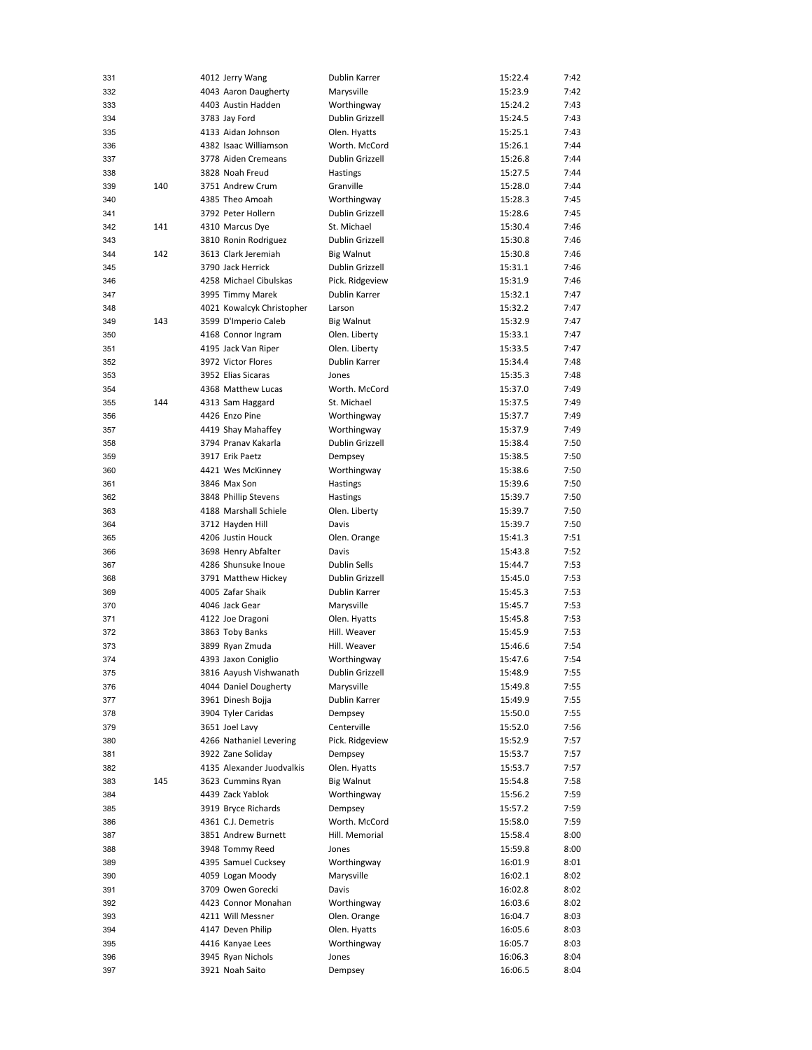| 331 |     | 4012 Jerry Wang           | Dublin Karrer     | 15:22.4 | 7:42 |
|-----|-----|---------------------------|-------------------|---------|------|
| 332 |     | 4043 Aaron Daugherty      | Marysville        | 15:23.9 | 7:42 |
| 333 |     | 4403 Austin Hadden        | Worthingway       | 15:24.2 | 7:43 |
| 334 |     | 3783 Jav Ford             | Dublin Grizzell   | 15:24.5 | 7:43 |
| 335 |     | 4133 Aidan Johnson        | Olen. Hyatts      | 15:25.1 | 7:43 |
| 336 |     | 4382 Isaac Williamson     | Worth. McCord     | 15:26.1 | 7:44 |
| 337 |     | 3778 Aiden Cremeans       | Dublin Grizzell   | 15:26.8 | 7:44 |
| 338 |     | 3828 Noah Freud           | Hastings          | 15:27.5 | 7:44 |
| 339 | 140 | 3751 Andrew Crum          | Granville         | 15:28.0 | 7:44 |
| 340 |     | 4385 Theo Amoah           |                   | 15:28.3 | 7:45 |
|     |     |                           | Worthingway       |         |      |
| 341 |     | 3792 Peter Hollern        | Dublin Grizzell   | 15:28.6 | 7:45 |
| 342 | 141 | 4310 Marcus Dye           | St. Michael       | 15:30.4 | 7:46 |
| 343 |     | 3810 Ronin Rodriguez      | Dublin Grizzell   | 15:30.8 | 7:46 |
| 344 | 142 | 3613 Clark Jeremiah       | <b>Big Walnut</b> | 15:30.8 | 7:46 |
| 345 |     | 3790 Jack Herrick         | Dublin Grizzell   | 15:31.1 | 7:46 |
| 346 |     | 4258 Michael Cibulskas    | Pick. Ridgeview   | 15:31.9 | 7:46 |
| 347 |     | 3995 Timmy Marek          | Dublin Karrer     | 15:32.1 | 7:47 |
| 348 |     | 4021 Kowalcyk Christopher | Larson            | 15:32.2 | 7:47 |
| 349 | 143 | 3599 D'Imperio Caleb      | <b>Big Walnut</b> | 15:32.9 | 7:47 |
| 350 |     | 4168 Connor Ingram        | Olen. Liberty     | 15:33.1 | 7:47 |
| 351 |     | 4195 Jack Van Riper       | Olen. Liberty     | 15:33.5 | 7:47 |
| 352 |     | 3972 Victor Flores        | Dublin Karrer     | 15:34.4 | 7:48 |
| 353 |     | 3952 Elias Sicaras        | Jones             | 15:35.3 | 7:48 |
| 354 |     | 4368 Matthew Lucas        | Worth. McCord     | 15:37.0 | 7:49 |
| 355 | 144 | 4313 Sam Haggard          | St. Michael       | 15:37.5 | 7:49 |
| 356 |     | 4426 Enzo Pine            | Worthingway       | 15:37.7 | 7:49 |
| 357 |     | 4419 Shay Mahaffey        | Worthingway       | 15:37.9 | 7:49 |
|     |     | 3794 Pranav Kakarla       | Dublin Grizzell   |         |      |
| 358 |     | 3917 Erik Paetz           |                   | 15:38.4 | 7:50 |
| 359 |     |                           | Dempsey           | 15:38.5 | 7:50 |
| 360 |     | 4421 Wes McKinney         | Worthingway       | 15:38.6 | 7:50 |
| 361 |     | 3846 Max Son              | Hastings          | 15:39.6 | 7:50 |
| 362 |     | 3848 Phillip Stevens      | Hastings          | 15:39.7 | 7:50 |
| 363 |     | 4188 Marshall Schiele     | Olen. Liberty     | 15:39.7 | 7:50 |
| 364 |     | 3712 Hayden Hill          | Davis             | 15:39.7 | 7:50 |
| 365 |     | 4206 Justin Houck         | Olen. Orange      | 15:41.3 | 7:51 |
| 366 |     | 3698 Henry Abfalter       | Davis             | 15:43.8 | 7:52 |
| 367 |     | 4286 Shunsuke Inoue       | Dublin Sells      | 15:44.7 | 7:53 |
| 368 |     | 3791 Matthew Hickey       | Dublin Grizzell   | 15:45.0 | 7:53 |
| 369 |     | 4005 Zafar Shaik          | Dublin Karrer     | 15:45.3 | 7:53 |
| 370 |     | 4046 Jack Gear            | Marysville        | 15:45.7 | 7:53 |
| 371 |     | 4122 Joe Dragoni          | Olen. Hyatts      | 15:45.8 | 7:53 |
| 372 |     | 3863 Toby Banks           | Hill. Weaver      | 15:45.9 | 7:53 |
| 373 |     | 3899 Ryan Zmuda           | Hill. Weaver      | 15:46.6 | 7:54 |
| 374 |     | 4393 Jaxon Coniglio       | Worthingway       | 15:47.6 | 7:54 |
| 375 |     | 3816 Aayush Vishwanath    | Dublin Grizzell   | 15:48.9 | 7:55 |
| 376 |     | 4044 Daniel Dougherty     | Marysville        | 15:49.8 | 7:55 |
| 377 |     | 3961 Dinesh Bojja         | Dublin Karrer     | 15:49.9 | 7:55 |
|     |     | 3904 Tyler Caridas        |                   |         |      |
| 378 |     |                           | Dempsey           | 15:50.0 | 7:55 |
| 379 |     | 3651 Joel Lavy            | Centerville       | 15:52.0 | 7:56 |
| 380 |     | 4266 Nathaniel Levering   | Pick. Ridgeview   | 15:52.9 | 7:57 |
| 381 |     | 3922 Zane Soliday         | Dempsey           | 15:53.7 | 7:57 |
| 382 |     | 4135 Alexander Juodvalkis | Olen. Hyatts      | 15:53.7 | 7:57 |
| 383 | 145 | 3623 Cummins Ryan         | <b>Big Walnut</b> | 15:54.8 | 7:58 |
| 384 |     | 4439 Zack Yablok          | Worthingway       | 15:56.2 | 7:59 |
| 385 |     | 3919 Bryce Richards       | Dempsey           | 15:57.2 | 7:59 |
| 386 |     | 4361 C.J. Demetris        | Worth. McCord     | 15:58.0 | 7:59 |
| 387 |     | 3851 Andrew Burnett       | Hill. Memorial    | 15:58.4 | 8:00 |
| 388 |     | 3948 Tommy Reed           | Jones             | 15:59.8 | 8:00 |
| 389 |     | 4395 Samuel Cucksey       | Worthingway       | 16:01.9 | 8:01 |
| 390 |     | 4059 Logan Moody          | Marysville        | 16:02.1 | 8:02 |
| 391 |     | 3709 Owen Gorecki         | Davis             | 16:02.8 | 8:02 |
| 392 |     | 4423 Connor Monahan       | Worthingway       | 16:03.6 | 8:02 |
| 393 |     | 4211 Will Messner         | Olen. Orange      | 16:04.7 | 8:03 |
| 394 |     | 4147 Deven Philip         | Olen. Hyatts      | 16:05.6 | 8:03 |
| 395 |     | 4416 Kanyae Lees          | Worthingway       | 16:05.7 | 8:03 |
| 396 |     | 3945 Ryan Nichols         | Jones             | 16:06.3 | 8:04 |
| 397 |     | 3921 Noah Saito           | Dempsey           | 16:06.5 | 8:04 |
|     |     |                           |                   |         |      |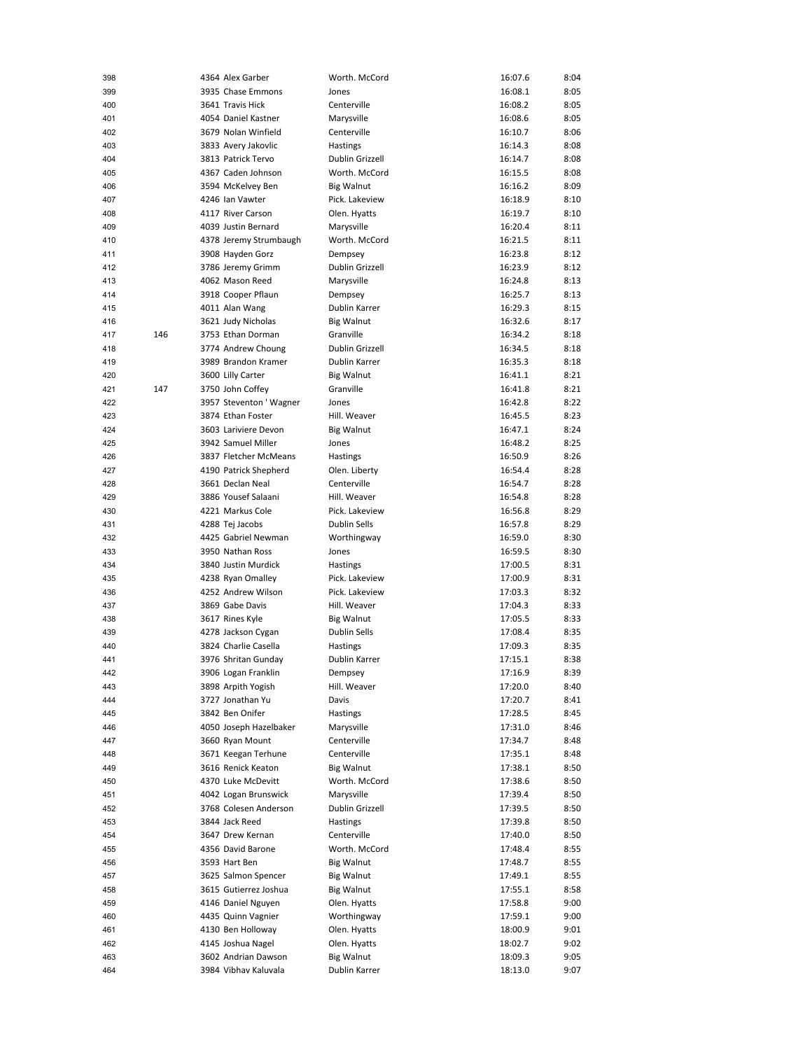| 398 |     | 4364 Alex Garber       | Worth. McCord       | 16:07.6 | 8:04 |
|-----|-----|------------------------|---------------------|---------|------|
| 399 |     | 3935 Chase Emmons      | Jones               | 16:08.1 | 8:05 |
| 400 |     | 3641 Travis Hick       | Centerville         | 16:08.2 | 8:05 |
| 401 |     | 4054 Daniel Kastner    | Marysville          | 16:08.6 | 8:05 |
| 402 |     | 3679 Nolan Winfield    | Centerville         | 16:10.7 | 8:06 |
| 403 |     | 3833 Avery Jakovlic    | Hastings            | 16:14.3 | 8:08 |
| 404 |     | 3813 Patrick Tervo     | Dublin Grizzell     | 16:14.7 | 8:08 |
| 405 |     | 4367 Caden Johnson     | Worth. McCord       | 16:15.5 | 8:08 |
| 406 |     | 3594 McKelvey Ben      | <b>Big Walnut</b>   | 16:16.2 | 8:09 |
| 407 |     | 4246 Ian Vawter        | Pick. Lakeview      | 16:18.9 | 8:10 |
| 408 |     | 4117 River Carson      | Olen. Hyatts        | 16:19.7 | 8:10 |
| 409 |     | 4039 Justin Bernard    | Marysville          | 16:20.4 | 8:11 |
| 410 |     | 4378 Jeremy Strumbaugh | Worth. McCord       | 16:21.5 | 8:11 |
| 411 |     | 3908 Hayden Gorz       | Dempsey             | 16:23.8 | 8:12 |
| 412 |     | 3786 Jeremy Grimm      | Dublin Grizzell     | 16:23.9 | 8:12 |
| 413 |     | 4062 Mason Reed        | Marysville          | 16:24.8 | 8:13 |
| 414 |     | 3918 Cooper Pflaun     | Dempsey             | 16:25.7 | 8:13 |
| 415 |     | 4011 Alan Wang         | Dublin Karrer       | 16:29.3 | 8:15 |
| 416 |     | 3621 Judy Nicholas     | <b>Big Walnut</b>   | 16:32.6 | 8:17 |
| 417 | 146 | 3753 Ethan Dorman      | Granville           | 16:34.2 | 8:18 |
| 418 |     | 3774 Andrew Choung     | Dublin Grizzell     | 16:34.5 | 8:18 |
| 419 |     | 3989 Brandon Kramer    | Dublin Karrer       | 16:35.3 | 8:18 |
| 420 |     | 3600 Lilly Carter      | <b>Big Walnut</b>   | 16:41.1 | 8:21 |
| 421 | 147 | 3750 John Coffey       | Granville           | 16:41.8 | 8:21 |
| 422 |     | 3957 Steventon 'Wagner | Jones               | 16:42.8 | 8:22 |
| 423 |     | 3874 Ethan Foster      | Hill. Weaver        | 16:45.5 | 8:23 |
| 424 |     | 3603 Lariviere Devon   | <b>Big Walnut</b>   | 16:47.1 | 8:24 |
| 425 |     | 3942 Samuel Miller     | Jones               | 16:48.2 | 8:25 |
| 426 |     | 3837 Fletcher McMeans  | Hastings            | 16:50.9 | 8:26 |
| 427 |     | 4190 Patrick Shepherd  | Olen. Liberty       | 16:54.4 | 8:28 |
| 428 |     | 3661 Declan Neal       | Centerville         | 16:54.7 | 8:28 |
| 429 |     | 3886 Yousef Salaani    | Hill. Weaver        | 16:54.8 | 8:28 |
| 430 |     | 4221 Markus Cole       | Pick. Lakeview      | 16:56.8 | 8:29 |
| 431 |     | 4288 Tej Jacobs        | <b>Dublin Sells</b> | 16:57.8 | 8:29 |
| 432 |     | 4425 Gabriel Newman    | Worthingway         | 16:59.0 | 8:30 |
| 433 |     | 3950 Nathan Ross       | Jones               | 16:59.5 | 8:30 |
| 434 |     | 3840 Justin Murdick    | Hastings            | 17:00.5 | 8:31 |
| 435 |     | 4238 Ryan Omalley      | Pick. Lakeview      | 17:00.9 | 8:31 |
| 436 |     | 4252 Andrew Wilson     | Pick. Lakeview      | 17:03.3 | 8:32 |
| 437 |     | 3869 Gabe Davis        | Hill. Weaver        | 17:04.3 | 8:33 |
| 438 |     | 3617 Rines Kyle        | <b>Big Walnut</b>   | 17:05.5 | 8:33 |
| 439 |     | 4278 Jackson Cygan     | <b>Dublin Sells</b> | 17:08.4 | 8:35 |
| 440 |     | 3824 Charlie Casella   | Hastings            | 17:09.3 | 8:35 |
| 441 |     | 3976 Shritan Gunday    | Dublin Karrer       | 17:15.1 | 8:38 |
| 442 |     | 3906 Logan Franklin    | Dempsey             | 17:16.9 | 8:39 |
| 443 |     | 3898 Arpith Yogish     | Hill. Weaver        | 17:20.0 | 8:40 |
| 444 |     | 3727 Jonathan Yu       | Davis               | 17:20.7 | 8:41 |
| 445 |     | 3842 Ben Onifer        | Hastings            | 17:28.5 | 8:45 |
| 446 |     | 4050 Joseph Hazelbaker | Marysville          | 17:31.0 | 8:46 |
| 447 |     | 3660 Ryan Mount        | Centerville         | 17:34.7 | 8:48 |
| 448 |     | 3671 Keegan Terhune    | Centerville         | 17:35.1 | 8:48 |
| 449 |     | 3616 Renick Keaton     | <b>Big Walnut</b>   | 17:38.1 | 8:50 |
| 450 |     | 4370 Luke McDevitt     | Worth. McCord       | 17:38.6 | 8:50 |
| 451 |     | 4042 Logan Brunswick   | Marysville          | 17:39.4 | 8:50 |
| 452 |     | 3768 Colesen Anderson  | Dublin Grizzell     | 17:39.5 | 8:50 |
| 453 |     | 3844 Jack Reed         | Hastings            | 17:39.8 | 8:50 |
| 454 |     | 3647 Drew Kernan       | Centerville         | 17:40.0 | 8:50 |
| 455 |     | 4356 David Barone      | Worth. McCord       | 17:48.4 | 8:55 |
| 456 |     | 3593 Hart Ben          | <b>Big Walnut</b>   | 17:48.7 | 8:55 |
| 457 |     | 3625 Salmon Spencer    | <b>Big Walnut</b>   | 17:49.1 | 8:55 |
| 458 |     | 3615 Gutierrez Joshua  | <b>Big Walnut</b>   | 17:55.1 | 8:58 |
| 459 |     | 4146 Daniel Nguyen     | Olen. Hyatts        | 17:58.8 | 9:00 |
| 460 |     | 4435 Quinn Vagnier     | Worthingway         | 17:59.1 | 9:00 |
| 461 |     | 4130 Ben Holloway      | Olen. Hyatts        | 18:00.9 | 9:01 |
| 462 |     | 4145 Joshua Nagel      | Olen. Hyatts        | 18:02.7 | 9:02 |
| 463 |     | 3602 Andrian Dawson    | <b>Big Walnut</b>   | 18:09.3 | 9:05 |
| 464 |     | 3984 Vibhav Kaluvala   | Dublin Karrer       | 18:13.0 | 9:07 |
|     |     |                        |                     |         |      |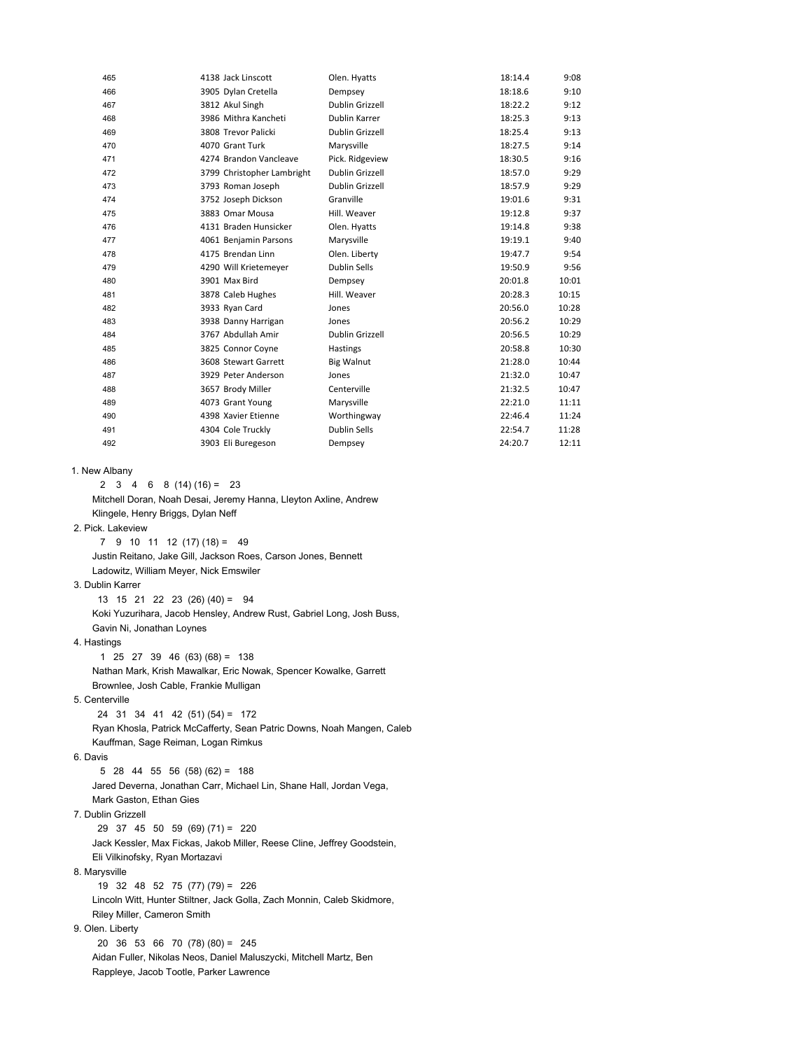| 465 | 4138 Jack Linscott         | Olen. Hyatts      | 18:14.4 | 9:08  |
|-----|----------------------------|-------------------|---------|-------|
| 466 | 3905 Dylan Cretella        | Dempsey           | 18:18.6 | 9:10  |
| 467 | 3812 Akul Singh            | Dublin Grizzell   | 18:22.2 | 9:12  |
| 468 | 3986 Mithra Kancheti       | Dublin Karrer     | 18:25.3 | 9:13  |
| 469 | 3808 Trevor Palicki        | Dublin Grizzell   | 18:25.4 | 9:13  |
| 470 | 4070 Grant Turk            | Marysville        | 18:27.5 | 9:14  |
| 471 | 4274 Brandon Vancleave     | Pick. Ridgeview   | 18:30.5 | 9:16  |
| 472 | 3799 Christopher Lambright | Dublin Grizzell   | 18:57.0 | 9:29  |
| 473 | 3793 Roman Joseph          | Dublin Grizzell   | 18:57.9 | 9:29  |
| 474 | 3752 Joseph Dickson        | Granville         | 19:01.6 | 9:31  |
| 475 | 3883 Omar Mousa            | Hill. Weaver      | 19:12.8 | 9:37  |
| 476 | 4131 Braden Hunsicker      | Olen. Hyatts      | 19:14.8 | 9:38  |
| 477 | 4061 Benjamin Parsons      | Marysville        | 19:19.1 | 9:40  |
| 478 | 4175 Brendan Linn          | Olen. Liberty     | 19:47.7 | 9:54  |
| 479 | 4290 Will Krietemeyer      | Dublin Sells      | 19:50.9 | 9:56  |
| 480 | 3901 Max Bird              | Dempsey           | 20:01.8 | 10:01 |
| 481 | 3878 Caleb Hughes          | Hill. Weaver      | 20:28.3 | 10:15 |
| 482 | 3933 Ryan Card             | Jones             | 20:56.0 | 10:28 |
| 483 | 3938 Danny Harrigan        | Jones             | 20:56.2 | 10:29 |
| 484 | 3767 Abdullah Amir         | Dublin Grizzell   | 20:56.5 | 10:29 |
| 485 | 3825 Connor Coyne          | Hastings          | 20:58.8 | 10:30 |
| 486 | 3608 Stewart Garrett       | <b>Big Walnut</b> | 21:28.0 | 10:44 |
| 487 | 3929 Peter Anderson        | Jones             | 21:32.0 | 10:47 |
| 488 | 3657 Brody Miller          | Centerville       | 21:32.5 | 10:47 |
| 489 | 4073 Grant Young           | Marysville        | 22:21.0 | 11:11 |
| 490 | 4398 Xavier Etienne        | Worthingway       | 22:46.4 | 11:24 |
| 491 | 4304 Cole Truckly          | Dublin Sells      | 22:54.7 | 11:28 |
| 492 | 3903 Eli Buregeson         | Dempsey           | 24:20.7 | 12:11 |
|     |                            |                   |         |       |

1. New Albany

2 3 4 6 8 (14) (16) = 23 Mitchell Doran, Noah Desai, Jeremy Hanna, Lleyton Axline, Andrew Klingele, Henry Briggs, Dylan Neff

2. Pick. Lakeview

 $7 \t9 \t10 \t11 \t12 \t(17) \t(18) = 49$  Justin Reitano, Jake Gill, Jackson Roes, Carson Jones, Bennett Ladowitz, William Meyer, Nick Emswiler

3. Dublin Karrer

 13 15 21 22 23 (26) (40) = 94 Koki Yuzurihara, Jacob Hensley, Andrew Rust, Gabriel Long, Josh Buss, Gavin Ni, Jonathan Loynes

4. Hastings

 1 25 27 39 46 (63) (68) = 138 Nathan Mark, Krish Mawalkar, Eric Nowak, Spencer Kowalke, Garrett Brownlee, Josh Cable, Frankie Mulligan

5. Centerville

 24 31 34 41 42 (51) (54) = 172 Ryan Khosla, Patrick McCafferty, Sean Patric Downs, Noah Mangen, Caleb Kauffman, Sage Reiman, Logan Rimkus

6. Davis

 5 28 44 55 56 (58) (62) = 188 Jared Deverna, Jonathan Carr, Michael Lin, Shane Hall, Jordan Vega, Mark Gaston, Ethan Gies

7. Dublin Grizzell

29 37 45 50 59 (69) (71) = 220

 Jack Kessler, Max Fickas, Jakob Miller, Reese Cline, Jeffrey Goodstein, Eli Vilkinofsky, Ryan Mortazavi

8. Marysville

19 32 48 52 75 (77) (79) = 226

 Lincoln Witt, Hunter Stiltner, Jack Golla, Zach Monnin, Caleb Skidmore, Riley Miller, Cameron Smith

9. Olen. Liberty

 20 36 53 66 70 (78) (80) = 245 Aidan Fuller, Nikolas Neos, Daniel Maluszycki, Mitchell Martz, Ben Rappleye, Jacob Tootle, Parker Lawrence